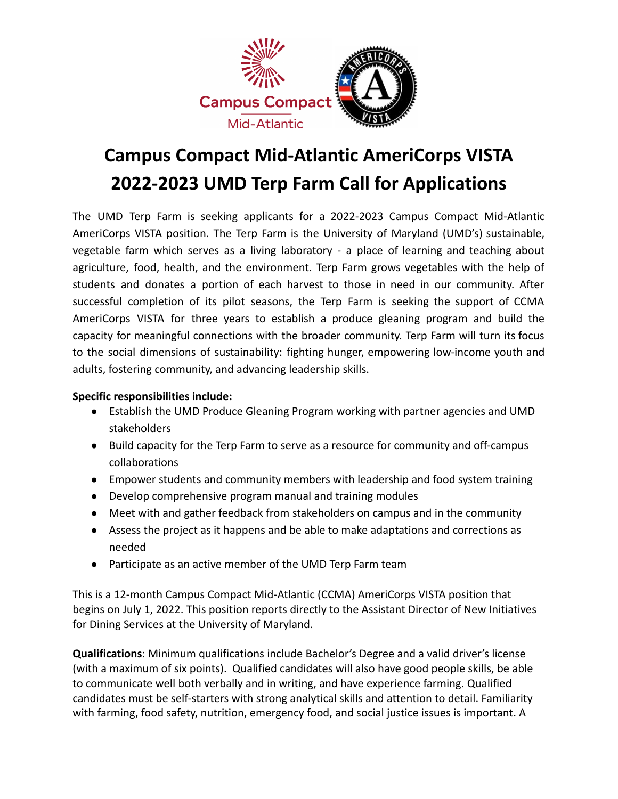

## **Campus Compact Mid-Atlantic AmeriCorps VISTA 2022-2023 UMD Terp Farm Call for Applications**

The UMD Terp Farm is seeking applicants for a 2022-2023 Campus Compact Mid-Atlantic AmeriCorps VISTA position. The Terp Farm is the University of Maryland (UMD's) sustainable, vegetable farm which serves as a living laboratory - a place of learning and teaching about agriculture, food, health, and the environment. Terp Farm grows vegetables with the help of students and donates a portion of each harvest to those in need in our community. After successful completion of its pilot seasons, the Terp Farm is seeking the support of CCMA AmeriCorps VISTA for three years to establish a produce gleaning program and build the capacity for meaningful connections with the broader community. Terp Farm will turn its focus to the social dimensions of sustainability: fighting hunger, empowering low-income youth and adults, fostering community, and advancing leadership skills.

## **Specific responsibilities include:**

- Establish the UMD Produce Gleaning Program working with partner agencies and UMD stakeholders
- Build capacity for the Terp Farm to serve as a resource for community and off-campus collaborations
- Empower students and community members with leadership and food system training
- Develop comprehensive program manual and training modules
- Meet with and gather feedback from stakeholders on campus and in the community
- Assess the project as it happens and be able to make adaptations and corrections as needed
- Participate as an active member of the UMD Terp Farm team

This is a 12-month Campus Compact Mid-Atlantic (CCMA) AmeriCorps VISTA position that begins on July 1, 2022. This position reports directly to the Assistant Director of New Initiatives for Dining Services at the University of Maryland.

**Qualifications**: Minimum qualifications include Bachelor's Degree and a valid driver's license (with a maximum of six points). Qualified candidates will also have good people skills, be able to communicate well both verbally and in writing, and have experience farming. Qualified candidates must be self-starters with strong analytical skills and attention to detail. Familiarity with farming, food safety, nutrition, emergency food, and social justice issues is important. A